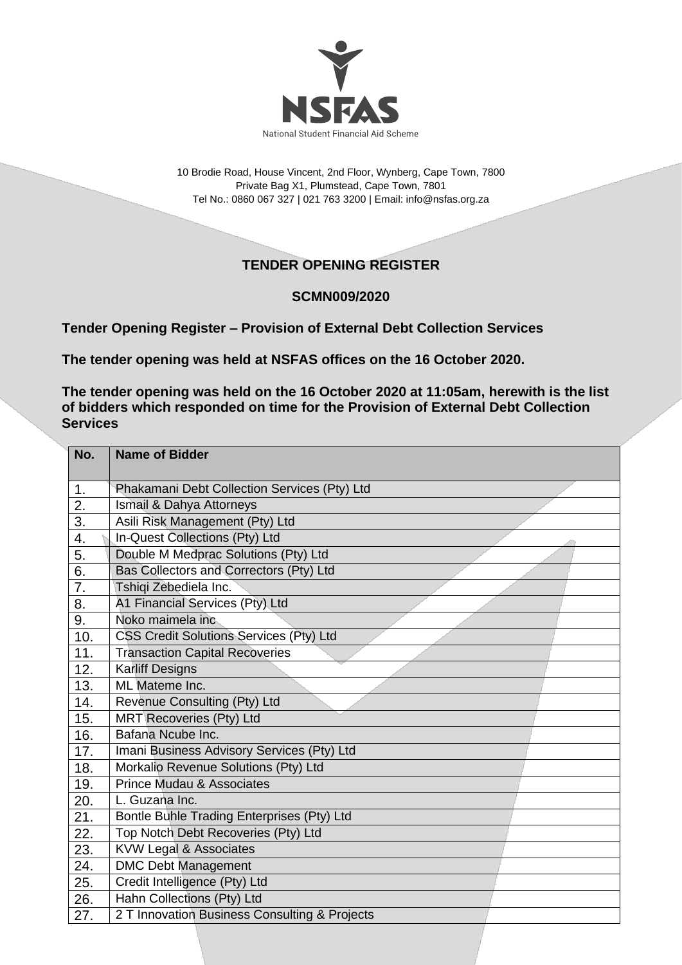

10 Brodie Road, House Vincent, 2nd Floor, Wynberg, Cape Town, 7800 Private Bag X1, Plumstead, Cape Town, 7801 Tel No.: 0860 067 327 | 021 763 3200 | Email[: info@nsfas.org.za](mailto:info@nsfas.org.za)

## **TENDER OPENING REGISTER**

## **SCMN009/2020**

**Tender Opening Register – Provision of External Debt Collection Services**

**The tender opening was held at NSFAS offices on the 16 October 2020.**

**The tender opening was held on the 16 October 2020 at 11:05am, herewith is the list of bidders which responded on time for the Provision of External Debt Collection Services**

| No.              | <b>Name of Bidder</b>                          |
|------------------|------------------------------------------------|
|                  |                                                |
| 1.               | Phakamani Debt Collection Services (Pty) Ltd   |
| 2.               | Ismail & Dahya Attorneys                       |
| $\overline{3}$ . | Asili Risk Management (Pty) Ltd                |
| 4.               | In-Quest Collections (Pty) Ltd                 |
| 5.               | Double M Medprac Solutions (Pty) Ltd           |
| 6.               | Bas Collectors and Correctors (Pty) Ltd        |
| 7.               | Tshiqi Zebediela Inc.                          |
| 8.               | A1 Financial Services (Pty) Ltd                |
| 9.               | Noko maimela inc                               |
| 10.              | <b>CSS Credit Solutions Services (Pty) Ltd</b> |
| 11.              | <b>Transaction Capital Recoveries</b>          |
| 12.              | <b>Karliff Designs</b>                         |
| 13.              | ML Mateme Inc.                                 |
| 14.              | Revenue Consulting (Pty) Ltd                   |
| 15.              | MRT Recoveries (Pty) Ltd                       |
| 16.              | Bafana Ncube Inc.                              |
| 17.              | Imani Business Advisory Services (Pty) Ltd     |
| 18.              | Morkalio Revenue Solutions (Pty) Ltd           |
| 19.              | <b>Prince Mudau &amp; Associates</b>           |
| 20.              | L. Guzana Inc.                                 |
| 21.              | Bontle Buhle Trading Enterprises (Pty) Ltd     |
| 22.              | Top Notch Debt Recoveries (Pty) Ltd            |
| 23.              | <b>KVW Legal &amp; Associates</b>              |
| 24.              | <b>DMC Debt Management</b>                     |
| 25.              | Credit Intelligence (Pty) Ltd                  |
| 26.              | Hahn Collections (Pty) Ltd                     |
| 27.              | 2 T Innovation Business Consulting & Projects  |